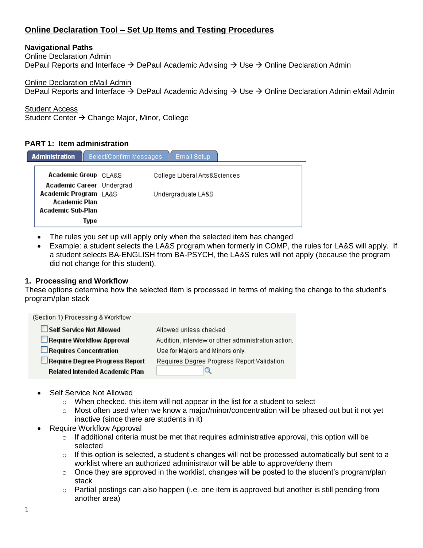# **Online Declaration Tool – Set Up Items and Testing Procedures**

# **Navigational Paths**

Online Declaration Admin

DePaul Reports and Interface  $\rightarrow$  DePaul Academic Advising  $\rightarrow$  Use  $\rightarrow$  Online Declaration Admin

Online Declaration eMail Admin

DePaul Reports and Interface  $\rightarrow$  DePaul Academic Advising  $\rightarrow$  Use  $\rightarrow$  Online Declaration Admin eMail Admin

Student Access

Student Center → Change Major, Minor, College

### **PART 1: Item administration**

| <b>Administration</b>                                               | Select/Confirm Messages | Email Setup                   |
|---------------------------------------------------------------------|-------------------------|-------------------------------|
| Academic Group CLA&S                                                |                         | College Liberal Arts&Sciences |
| Academic Career Undergrad<br>Academic Program LA&S<br>Academic Plan |                         | Undergraduate LA&S            |
| Academic Sub-Plan<br>Type                                           |                         |                               |

- The rules you set up will apply only when the selected item has changed
- Example: a student selects the LA&S program when formerly in COMP, the rules for LA&S will apply. If a student selects BA-ENGLISH from BA-PSYCH, the LA&S rules will not apply (because the program did not change for this student).

### **1. Processing and Workflow**

These options determine how the selected item is processed in terms of making the change to the student's program/plan stack

| (Section 1) Processing & Workflow     |                                                     |
|---------------------------------------|-----------------------------------------------------|
| Self Service Not Allowed              | Allowed unless checked                              |
| Require Workflow Approval             | Audition, interview or other administration action. |
| Requires Concentration                | Use for Majors and Minors only.                     |
| Require Degree Progress Report        | Requires Degree Progress Report Validation          |
| <b>Related Intended Academic Plan</b> |                                                     |

- Self Service Not Allowed
	- o When checked, this item will not appear in the list for a student to select
	- $\circ$  Most often used when we know a major/minor/concentration will be phased out but it not yet inactive (since there are students in it)
- Require Workflow Approval
	- $\circ$  If additional criteria must be met that requires administrative approval, this option will be selected
	- $\circ$  If this option is selected, a student's changes will not be processed automatically but sent to a worklist where an authorized administrator will be able to approve/deny them
	- $\circ$  Once they are approved in the worklist, changes will be posted to the student's program/plan stack
	- $\circ$  Partial postings can also happen (i.e. one item is approved but another is still pending from another area)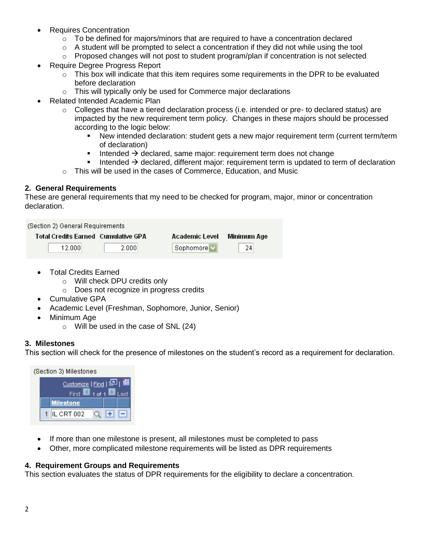- Requires Concentration
	- $\circ$  To be defined for majors/minors that are required to have a concentration declared
	- o A student will be prompted to select a concentration if they did not while using the tool
	- $\circ$  Proposed changes will not post to student program/plan if concentration is not selected
- Require Degree Progress Report
	- $\circ$  This box will indicate that this item requires some requirements in the DPR to be evaluated before declaration
	- $\circ$  This will typically only be used for Commerce major declarations
- Related Intended Academic Plan
	- $\circ$  Colleges that have a tiered declaration process (i.e. intended or pre- to declared status) are impacted by the new requirement term policy. Changes in these majors should be processed according to the logic below:
		- New intended declaration: student gets a new major requirement term (current term/term of declaration)
		- Intended  $\rightarrow$  declared, same major: requirement term does not change
		- Intended  $\rightarrow$  declared, different major: requirement term is updated to term of declaration
	- o This will be used in the cases of Commerce, Education, and Music

## **2. General Requirements**

These are general requirements that my need to be checked for program, major, minor or concentration declaration.

| (Section 2) General Requirements |                                       |                |             |
|----------------------------------|---------------------------------------|----------------|-------------|
|                                  | Total Credits Earned - Cumulative GPA | Academic Level | Minimum Age |
| 12.000                           | 2.0001                                | Sophomore      | 24          |

- Total Credits Earned
	- o Will check DPU credits only
	- o Does not recognize in progress credits
- Cumulative GPA
- Academic Level (Freshman, Sophomore, Junior, Senior)
- Minimum Age
	- $\circ$  Will be used in the case of SNL (24)

### **3. Milestones**

This section will check for the presence of milestones on the student's record as a requirement for declaration.



- If more than one milestone is present, all milestones must be completed to pass
- Other, more complicated milestone requirements will be listed as DPR requirements

### **4. Requirement Groups and Requirements**

This section evaluates the status of DPR requirements for the eligibility to declare a concentration.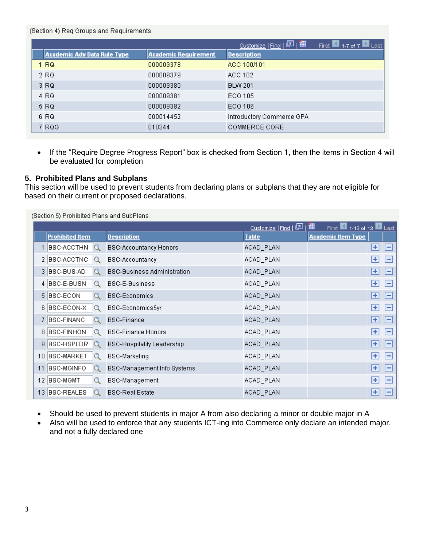#### (Section 4) Req Groups and Requirements

|                                    |                             | <u>Customize</u>   Find   2   1<br>First $\blacksquare$ 1-7 of 7 $\blacksquare$ Last |
|------------------------------------|-----------------------------|--------------------------------------------------------------------------------------|
| <b>Academic Adv Data Rule Type</b> | <b>Academic Requirement</b> | <b>Description</b>                                                                   |
| 1 RQ                               | 000009378                   | ACC 100/101                                                                          |
| 2 RQ                               | 000009379                   | ACC 102                                                                              |
| 3 RQ                               | 000009380                   | <b>BLW 201</b>                                                                       |
| 4 RQ                               | 000009381                   | ECO 105                                                                              |
| 5 RQ                               | 000009382                   | ECO 106                                                                              |
| 6 RQ                               | 000014452                   | Introductory Commerce GPA                                                            |
| 7 RQG                              | 010344                      | COMMERCE CORE                                                                        |

• If the "Require Degree Progress Report" box is checked from Section 1, then the items in Section 4 will be evaluated for completion

### **5. Prohibited Plans and Subplans**

This section will be used to prevent students from declaring plans or subplans that they are not eligible for based on their current or proposed declarations.

|                 | (Section 5) Prohibited Plans and SubPlans |                                    |                      |                                     |                    |                    |
|-----------------|-------------------------------------------|------------------------------------|----------------------|-------------------------------------|--------------------|--------------------|
|                 |                                           |                                    | Customize   Find   2 | 讍<br>First 4.13 of 13 <b>D</b> Last |                    |                    |
|                 | <b>Prohibited Item</b>                    | <b>Description</b>                 | <b>Table</b>         | <b>Academic Item Type</b>           |                    |                    |
|                 | BSC-ACCTHN                                | <b>BSC-Accountancy Honors</b>      | ACAD_PLAN            |                                     | $+$                | ⊪                  |
|                 | 2 BSC-ACCTNC                              | <b>BSC-Accountancy</b>             | ACAD_PLAN            |                                     | ÷                  | $\left  - \right $ |
|                 | 3 BSC-BUS-AD                              | <b>BSC-Business Administration</b> | ACAD_PLAN            |                                     | ÷                  | $\mathbf{I}$       |
|                 | 4 BSC-E-BUSN<br>Q                         | <b>BSC-E-Business</b>              | ACAD_PLAN            |                                     | ÷                  | $\vert - \vert$    |
|                 | 5 BSC-ECON<br>Q                           | <b>BSC-Economics</b>               | ACAD_PLAN            |                                     | $\pm$              | - 1                |
| 6.              | BSC-ECON-X<br>Q                           | BSC-Economics5yr                   | ACAD_PLAN            |                                     | ÷                  | ь                  |
|                 | 7 BSC-FINANC                              | <b>BSC-Finance</b>                 | ACAD_PLAN            |                                     | $\pm$              | $\vert - \vert$    |
| 8               | BSC-FINHON<br>Q                           | <b>BSC-Finance Honors</b>          | ACAD_PLAN            |                                     | ÷                  | $\vert - \vert$    |
| 9               | BSC-HSPLDR                                | <b>BSC-Hospitality Leadership</b>  | ACAD_PLAN            |                                     | $\left  + \right $ | $\mathbf{I}$       |
| 10 <sup>1</sup> | <b>BSC-MARKET</b><br>О                    | <b>BSC-Marketing</b>               | ACAD_PLAN            |                                     | $\pm$              | IН                 |
| 11              | BSC-MGINFO                                | <b>BSC-Management Info Systems</b> | ACAD_PLAN            |                                     | $\pm$              | IН                 |
|                 | 12 BSC-MGMT<br>Q                          | BSC-Management                     | ACAD_PLAN            |                                     | $\left  + \right $ | IН                 |
| 13              | BSC-REALES                                | <b>BSC-Real Estate</b>             | ACAD_PLAN            |                                     | ÷                  | -                  |

- Should be used to prevent students in major A from also declaring a minor or double major in A
- Also will be used to enforce that any students ICT-ing into Commerce only declare an intended major, and not a fully declared one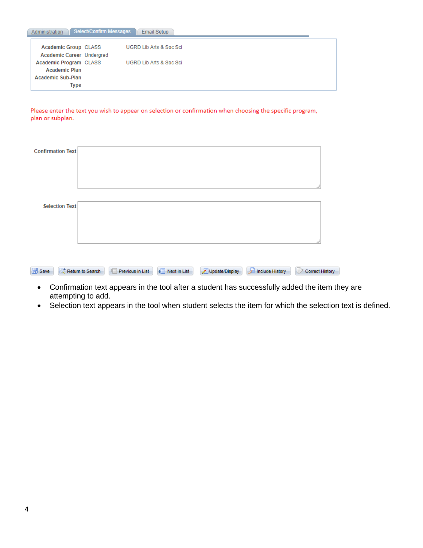| Administration            | Select/Confirm Messages | Email Setup             |
|---------------------------|-------------------------|-------------------------|
| Academic Group CLASS      |                         | UGRD Lib Arts & Soc Sci |
| Academic Career Undergrad |                         |                         |
| Academic Program CLASS    |                         | UGRD Lib Arts & Soc Sci |
| <b>Academic Plan</b>      |                         |                         |
| Academic Sub-Plan         |                         |                         |
| Type                      |                         |                         |

Please enter the text you wish to appear on selection or confirmation when choosing the specific program, plan or subplan.

| <b>Confirmation Text</b> |                         |                                        |                |                      |                      |
|--------------------------|-------------------------|----------------------------------------|----------------|----------------------|----------------------|
|                          |                         |                                        |                |                      |                      |
|                          |                         |                                        |                |                      |                      |
|                          |                         |                                        |                |                      |                      |
|                          |                         |                                        |                |                      |                      |
|                          |                         |                                        |                |                      |                      |
| <b>Selection Text</b>    |                         |                                        |                |                      |                      |
|                          |                         |                                        |                |                      |                      |
|                          |                         |                                        |                |                      |                      |
|                          |                         |                                        |                |                      |                      |
|                          |                         |                                        |                |                      |                      |
|                          |                         |                                        |                |                      |                      |
| <b>图</b> Save            | Return to Search<br>$+$ | +I<br>Previous in List<br>Next in List | Update/Display | 月<br>Include History | Ð<br>Correct History |

- Confirmation text appears in the tool after a student has successfully added the item they are attempting to add.
- Selection text appears in the tool when student selects the item for which the selection text is defined.